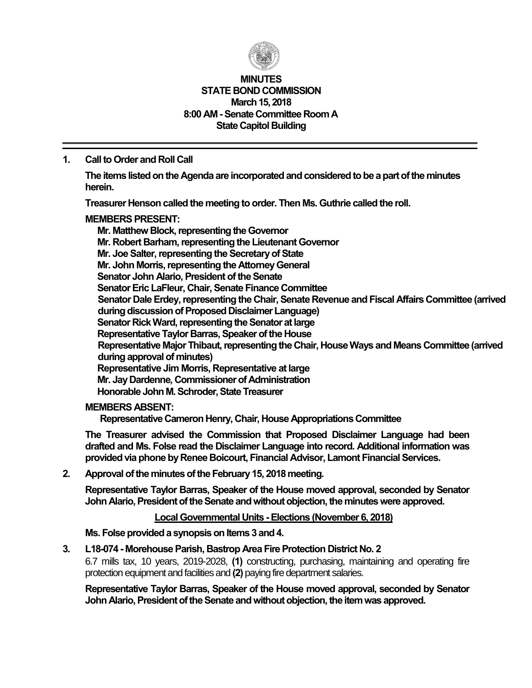

#### **MINUTES STATE BOND COMMISSION March 15, 2018 8:00 AM -Senate Committee Room A State Capitol Building**

### **1. Call to Order and Roll Call**

**The items listed on the Agenda are incorporated and considered to be a part of the minutes herein.**

**Treasurer Henson called the meeting to order. Then Ms. Guthrie called the roll.**

#### **MEMBERS PRESENT:**

**Mr. Matthew Block, representing the Governor Mr. Robert Barham, representing the Lieutenant Governor Mr. Joe Salter, representing the Secretary of State Mr. John Morris, representing the Attorney General Senator John Alario, President of the Senate Senator Eric LaFleur, Chair, Senate Finance Committee Senator Dale Erdey, representing the Chair, Senate Revenue and Fiscal Affairs Committee (arrived during discussion of Proposed Disclaimer Language) Senator Rick Ward, representing the Senator at large Representative Taylor Barras, Speaker of the House Representative Major Thibaut, representing the Chair, House Ways and Means Committee (arrived during approval of minutes) Representative Jim Morris, Representative at large Mr. Jay Dardenne, Commissioner of Administration Honorable John M. Schroder, State Treasurer**

#### **MEMBERS ABSENT:**

**Representative Cameron Henry, Chair, House Appropriations Committee**

**The Treasurer advised the Commission that Proposed Disclaimer Language had been drafted and Ms. Folse read the Disclaimer Language into record. Additional information was providedvia phone by Renee Boicourt, Financial Advisor, Lamont Financial Services.**

**2. Approval of the minutes of the February 15, 2018 meeting.**

**Representative Taylor Barras, Speaker of the House moved approval, seconded by Senator John Alario, President of the Senate and without objection, the minutes were approved.**

### **Local Governmental Units -Elections (November 6, 2018)**

**Ms. Folse provided a synopsis on Items 3 and 4.**

**3. L18-074 - Morehouse Parish, Bastrop Area Fire Protection District No. 2**

6.7 mills tax, 10 years, 2019-2028, **(1)** constructing, purchasing, maintaining and operating fire protection equipment and facilities and **(2)** paying fire department salaries.

**Representative Taylor Barras, Speaker of the House moved approval, seconded by Senator John Alario, President of the Senate and without objection, the item was approved.**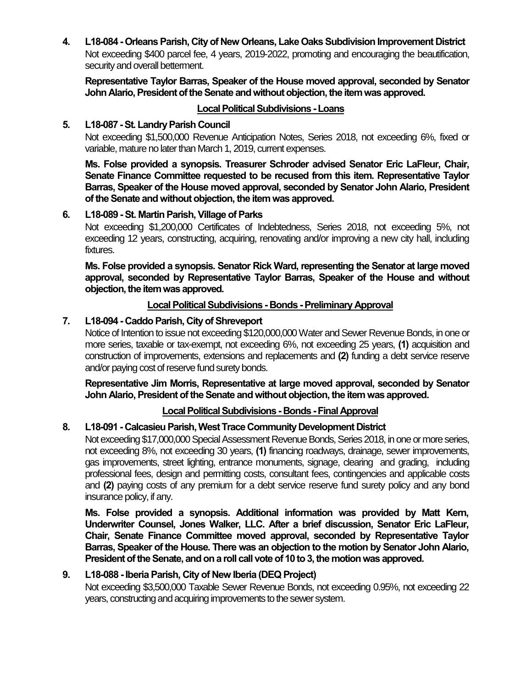**4. L18-084 - Orleans Parish, City of New Orleans, Lake Oaks Subdivision Improvement District** Not exceeding \$400 parcel fee, 4 years, 2019-2022, promoting and encouraging the beautification, security and overall betterment.

**Representative Taylor Barras, Speaker of the House moved approval, seconded by Senator John Alario, President of the Senate and without objection, the item was approved.**

# **Local Political Subdivisions -Loans**

# **5. L18-087 -St. Landry Parish Council**

Not exceeding \$1,500,000 Revenue Anticipation Notes, Series 2018, not exceeding 6%, fixed or variable, mature no later than March 1, 2019, current expenses.

**Ms. Folse provided a synopsis. Treasurer Schroder advised Senator Eric LaFleur, Chair, Senate Finance Committee requested to be recused from this item. Representative Taylor Barras, Speaker of the House moved approval, seconded by Senator John Alario, President of the Senate and without objection, the item was approved.**

## **6. L18-089 -St. Martin Parish, Village of Parks**

Not exceeding \$1,200,000 Certificates of Indebtedness, Series 2018, not exceeding 5%, not exceeding 12 years, constructing, acquiring, renovating and/or improving a new city hall, including fixtures.

**Ms. Folse provided a synopsis. Senator Rick Ward, representing the Senator at large moved approval, seconded by Representative Taylor Barras, Speaker of the House and without objection, the item was approved.**

## **Local Political Subdivisions - Bonds -Preliminary Approval**

# **7. L18-094 - Caddo Parish, City of Shreveport**

Notice of Intention to issue not exceeding \$120,000,000 Water and Sewer Revenue Bonds, in one or more series, taxable or tax-exempt, not exceeding 6%, not exceeding 25 years, **(1)** acquisition and construction of improvements, extensions and replacements and **(2)** funding a debt service reserve and/or paying cost of reserve fund surety bonds.

**Representative Jim Morris, Representative at large moved approval, seconded by Senator John Alario, President of the Senate and without objection, the item was approved.**

# **Local Political Subdivisions - Bonds -Final Approval**

#### **8. L18-091 - Calcasieu Parish, West Trace Community Development District**

Not exceeding \$17,000,000 Special Assessment Revenue Bonds, Series 2018, in one or more series, not exceeding 8%, not exceeding 30 years, **(1)** financing roadways, drainage, sewer improvements, gas improvements, street lighting, entrance monuments, signage, clearing and grading, including professional fees, design and permitting costs, consultant fees, contingencies and applicable costs and **(2)** paying costs of any premium for a debt service reserve fund surety policy and any bond insurance policy, if any.

**Ms. Folse provided a synopsis. Additional information was provided by Matt Kern, Underwriter Counsel, Jones Walker, LLC. After a brief discussion, Senator Eric LaFleur, Chair, Senate Finance Committee moved approval, seconded by Representative Taylor Barras, Speaker of the House. There was an objection to the motion by Senator John Alario, President of the Senate, and on a roll call vote of 10 to 3, the motion was approved.**

#### **9. L18-088 -Iberia Parish, City of New Iberia (DEQ Project)**

Not exceeding \$3,500,000 Taxable Sewer Revenue Bonds, not exceeding 0.95%, not exceeding 22 years, constructing and acquiring improvements to the sewer system.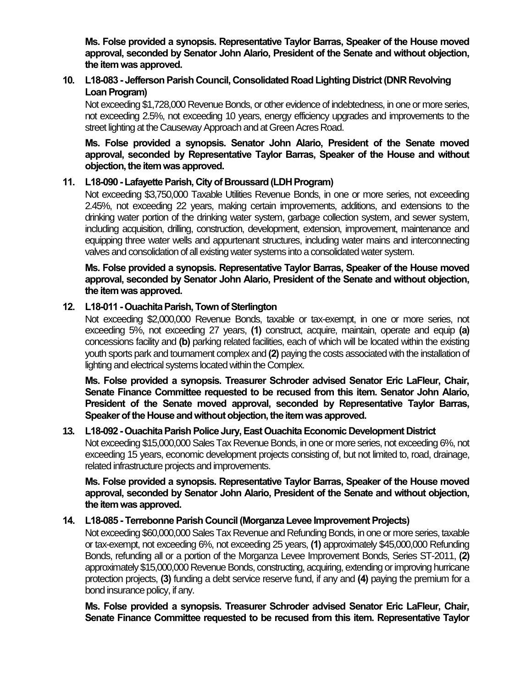**Ms. Folse provided a synopsis. Representative Taylor Barras, Speaker of the House moved approval, seconded by Senator John Alario, President of the Senate and without objection, the item was approved.**

# **10. L18-083 - Jefferson Parish Council, Consolidated Road Lighting District (DNR Revolving**  Loan Program)

Not exceeding \$1,728,000 Revenue Bonds, or other evidence of indebtedness, in one or more series, not exceeding 2.5%, not exceeding 10 years, energy efficiency upgrades and improvements to the street lighting at the Causeway Approach and at Green Acres Road.

**Ms. Folse provided a synopsis. Senator John Alario, President of the Senate moved approval, seconded by Representative Taylor Barras, Speaker of the House and without objection, the item was approved.**

## **11. L18-090 -Lafayette Parish, City of Broussard (LDH Program)**

Not exceeding \$3,750,000 Taxable Utilities Revenue Bonds, in one or more series, not exceeding 2.45%, not exceeding 22 years, making certain improvements, additions, and extensions to the drinking water portion of the drinking water system, garbage collection system, and sewer system, including acquisition, drilling, construction, development, extension, improvement, maintenance and equipping three water wells and appurtenant structures, including water mains and interconnecting valves and consolidation of all existing water systems into a consolidated water system.

**Ms. Folse provided a synopsis. Representative Taylor Barras, Speaker of the House moved approval, seconded by Senator John Alario, President of the Senate and without objection, the item was approved.**

#### **12. L18-011 -Ouachita Parish, Town of Sterlington**

Not exceeding \$2,000,000 Revenue Bonds, taxable or tax-exempt, in one or more series, not exceeding 5%, not exceeding 27 years, **(1)** construct, acquire, maintain, operate and equip **(a)** concessions facility and **(b)** parking related facilities, each of which will be located within the existing youth sports park and tournament complex and **(2)** paying the costs associated with the installation of lighting and electrical systems located within the Complex.

**Ms. Folse provided a synopsis. Treasurer Schroder advised Senator Eric LaFleur, Chair, Senate Finance Committee requested to be recused from this item. Senator John Alario, President of the Senate moved approval, seconded by Representative Taylor Barras, Speaker of the House and without objection, the item was approved.**

#### **13. L18-092 -Ouachita Parish Police Jury, East Ouachita Economic Development District**

Not exceeding \$15,000,000 Sales Tax Revenue Bonds, in one or more series, not exceeding 6%, not exceeding 15 years, economic development projects consisting of, but not limited to, road, drainage, related infrastructure projects and improvements.

**Ms. Folse provided a synopsis. Representative Taylor Barras, Speaker of the House moved approval, seconded by Senator John Alario, President of the Senate and without objection, the item was approved.**

#### **14. L18-085 - Terrebonne Parish Council (Morganza Levee Improvement Projects)**

Not exceeding \$60,000,000 Sales Tax Revenue and Refunding Bonds, in one or more series, taxable or tax-exempt, not exceeding 6%, not exceeding 25 years, **(1)** approximately \$45,000,000 Refunding Bonds, refunding all or a portion of the Morganza Levee Improvement Bonds, Series ST-2011, **(2)** approximately \$15,000,000 Revenue Bonds, constructing, acquiring, extending or improving hurricane protection projects, **(3)** funding a debt service reserve fund, if any and **(4)** paying the premium for a bond insurance policy, if any.

**Ms. Folse provided a synopsis. Treasurer Schroder advised Senator Eric LaFleur, Chair, Senate Finance Committee requested to be recused from this item. Representative Taylor**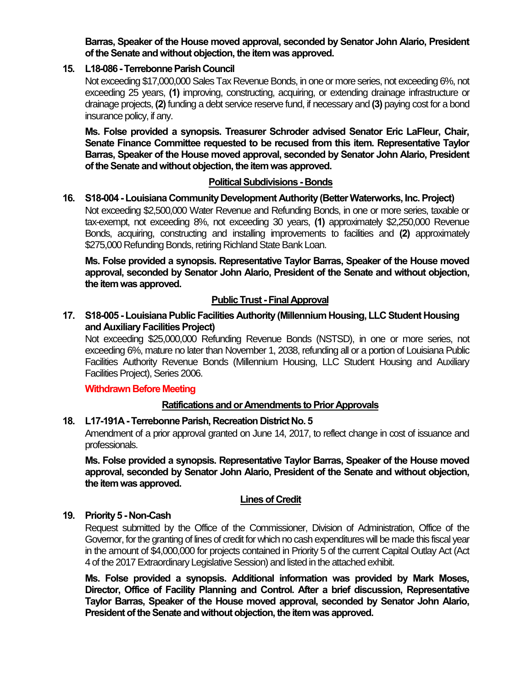**Barras, Speaker of the House moved approval, seconded by Senator John Alario, President of the Senate and without objection, the item was approved.**

### **15. L18-086 -Terrebonne Parish Council**

Not exceeding \$17,000,000 Sales Tax Revenue Bonds, in one or more series, not exceeding 6%, not exceeding 25 years, **(1)** improving, constructing, acquiring, or extending drainage infrastructure or drainage projects, **(2)**funding a debt service reserve fund, if necessary and **(3)** paying cost for a bond insurance policy, if any.

**Ms. Folse provided a synopsis. Treasurer Schroder advised Senator Eric LaFleur, Chair, Senate Finance Committee requested to be recused from this item. Representative Taylor Barras, Speaker of the House moved approval, seconded by Senator John Alario, President of the Senate and without objection, the item was approved.**

## **Political Subdivisions - Bonds**

#### **16. S18-004 - Louisiana Community Development Authority (Better Waterworks, Inc. Project)** Not exceeding \$2,500,000 Water Revenue and Refunding Bonds, in one or more series, taxable or tax-exempt, not exceeding 8%, not exceeding 30 years, **(1)** approximately \$2,250,000 Revenue Bonds, acquiring, constructing and installing improvements to facilities and **(2)** approximately \$275,000 Refunding Bonds, retiring Richland State Bank Loan.

**Ms. Folse provided a synopsis. Representative Taylor Barras, Speaker of the House moved approval, seconded by Senator John Alario, President of the Senate and without objection, the item was approved.**

## **Public Trust - Final Approval**

# **17. S18-005 - Louisiana Public Facilities Authority (Millennium Housing, LLC Student Housing and Auxiliary Facilities Project)**

Not exceeding \$25,000,000 Refunding Revenue Bonds (NSTSD), in one or more series, not exceeding 6%, mature no later than November 1, 2038, refunding all or a portion of Louisiana Public Facilities Authority Revenue Bonds (Millennium Housing, LLC Student Housing and Auxiliary Facilities Project), Series 2006.

#### **Withdrawn Before Meeting**

#### **Ratifications and or Amendments to Prior Approvals**

# **18. L17-191A - Terrebonne Parish, Recreation District No. 5**

Amendment of a prior approval granted on June 14, 2017, to reflect change in cost of issuance and professionals.

**Ms. Folse provided a synopsis. Representative Taylor Barras, Speaker of the House moved approval, seconded by Senator John Alario, President of the Senate and without objection, the item was approved.**

#### **Lines of Credit**

#### **19. Priority 5 - Non-Cash**

Request submitted by the Office of the Commissioner, Division of Administration, Office of the Governor, for the granting of lines of credit for which no cash expenditures will be made this fiscal year in the amount of \$4,000,000 for projects contained in Priority 5 of the current Capital Outlay Act (Act 4 of the 2017 Extraordinary Legislative Session) and listed in the attached exhibit.

**Ms. Folse provided a synopsis. Additional information was provided by Mark Moses, Director, Office of Facility Planning and Control. After a brief discussion, Representative Taylor Barras, Speaker of the House moved approval, seconded by Senator John Alario, President of the Senate and without objection, the item was approved.**